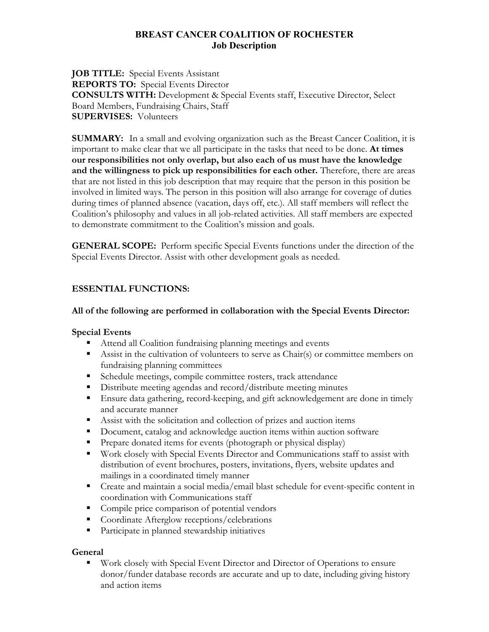### **BREAST CANCER COALITION OF ROCHESTER Job Description**

**JOB TITLE:** Special Events Assistant **REPORTS TO:** Special Events Director **CONSULTS WITH:** Development & Special Events staff, Executive Director, Select Board Members, Fundraising Chairs, Staff **SUPERVISES:** Volunteers

**SUMMARY:** In a small and evolving organization such as the Breast Cancer Coalition, it is important to make clear that we all participate in the tasks that need to be done. **At times our responsibilities not only overlap, but also each of us must have the knowledge and the willingness to pick up responsibilities for each other.** Therefore, there are areas that are not listed in this job description that may require that the person in this position be involved in limited ways. The person in this position will also arrange for coverage of duties during times of planned absence (vacation, days off, etc.). All staff members will reflect the Coalition's philosophy and values in all job-related activities. All staff members are expected to demonstrate commitment to the Coalition's mission and goals.

**GENERAL SCOPE:** Perform specific Special Events functions under the direction of the Special Events Director. Assist with other development goals as needed.

## **ESSENTIAL FUNCTIONS:**

#### **All of the following are performed in collaboration with the Special Events Director:**

#### **Special Events**

- Attend all Coalition fundraising planning meetings and events
- Assist in the cultivation of volunteers to serve as Chair(s) or committee members on fundraising planning committees
- Schedule meetings, compile committee rosters, track attendance
- Distribute meeting agendas and record/distribute meeting minutes
- Ensure data gathering, record-keeping, and gift acknowledgement are done in timely and accurate manner
- Assist with the solicitation and collection of prizes and auction items
- Document, catalog and acknowledge auction items within auction software
- **Prepare donated items for events (photograph or physical display)**
- Work closely with Special Events Director and Communications staff to assist with distribution of event brochures, posters, invitations, flyers, website updates and mailings in a coordinated timely manner
- Create and maintain a social media/email blast schedule for event-specific content in coordination with Communications staff
- **Compile price comparison of potential vendors**
- Coordinate Afterglow receptions/celebrations
- Participate in planned stewardship initiatives

## **General**

 Work closely with Special Event Director and Director of Operations to ensure donor/funder database records are accurate and up to date, including giving history and action items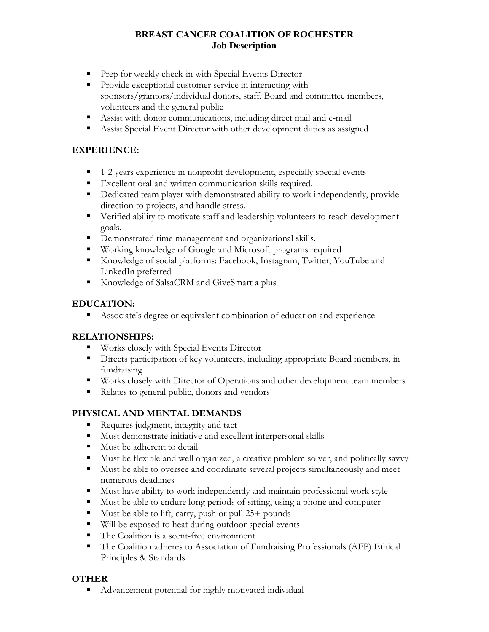# **BREAST CANCER COALITION OF ROCHESTER Job Description**

- **Prep for weekly check-in with Special Events Director**
- **Provide exceptional customer service in interacting with** sponsors/grantors/individual donors, staff, Board and committee members, volunteers and the general public
- Assist with donor communications, including direct mail and e-mail
- Assist Special Event Director with other development duties as assigned

#### **EXPERIENCE:**

- 1-2 years experience in nonprofit development, especially special events
- **Excellent oral and written communication skills required.**
- Dedicated team player with demonstrated ability to work independently, provide direction to projects, and handle stress.
- Verified ability to motivate staff and leadership volunteers to reach development goals.
- **•** Demonstrated time management and organizational skills.
- Working knowledge of Google and Microsoft programs required
- Knowledge of social platforms: Facebook, Instagram, Twitter, YouTube and LinkedIn preferred
- Knowledge of SalsaCRM and GiveSmart a plus

## **EDUCATION:**

Associate's degree or equivalent combination of education and experience

## **RELATIONSHIPS:**

- **Works closely with Special Events Director**
- **Directs participation of key volunteers, including appropriate Board members, in** fundraising
- Works closely with Director of Operations and other development team members
- Relates to general public, donors and vendors

## **PHYSICAL AND MENTAL DEMANDS**

- Requires judgment, integrity and tact
- **Must demonstrate initiative and excellent interpersonal skills**
- **Must be adherent to detail**
- Must be flexible and well organized, a creative problem solver, and politically savvy
- Must be able to oversee and coordinate several projects simultaneously and meet numerous deadlines
- Must have ability to work independently and maintain professional work style
- Must be able to endure long periods of sitting, using a phone and computer
- $\blacksquare$  Must be able to lift, carry, push or pull 25+ pounds
- Will be exposed to heat during outdoor special events
- The Coalition is a scent-free environment
- The Coalition adheres to Association of Fundraising Professionals (AFP) Ethical Principles & Standards

## **OTHER**

Advancement potential for highly motivated individual